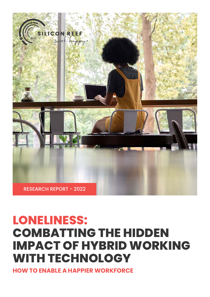

# **LONELINESS: COMBATTING THE HIDDEN IMPACT OF HYBRID WORKING WITH TECHNOLOGY**

**HOW TO ENABLE A HAPPIER WORKFORCE**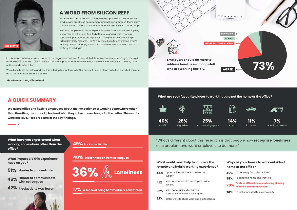### **A WORD FROM SILICON REEF**

We work with organisations to shape and improve their collaboration, productivity, employee engagement and wellbeing through technology. This helps them create a culture that enables employees to work happy.

Because happiness in the workplace is better for everyone: employees, customers and leaders. And it's better for organisations in general because happy workers are 13 per cent more productive, according to Oxford University research. That's why we're keen to understand what's making people unhappy. Since if we understand the problem, we're halfway to solving it.

#### **What would most help to improve the remote and hybrid working experience?**

#### **What are your favourite places to work that are not the home or the office?**





**Employers should do more to address loneliness among staff** 

| 44% | Opportunities for mental breaks and<br>support                  |
|-----|-----------------------------------------------------------------|
| 41% | More interaction with employees online<br>socially              |
| 32% | More opportunities for ad hoc<br>communications with colleagues |
| 32% | Better ways to share work and get feedback                      |

**NEITHER AGREE NOR DISAGREEE**





We're keen to do our bit to address this, offering technology to better connect people. Read on to find out what you can do to tackle the loneliness epidemic.

#### **Why did you choose to work outside of home or the office? 40%** To get away from distractions To separate home and work life **To stave off loneliness or a feeling of being hemmed in and constricted 28% 38%**

**26%** To feel connected to a community

#### **A QUICK SUMMARY**

**We asked office and flexible employees about their experience of working somewhere other than the office, the impact it had and what they'd like to see change for the better. The results were decisive. Here are some of the key findings.**

**What have you experienced when working somewhere other than the office?**

**What impact did this experience have on you?**



**17% A sense of being hemmed in or constricted**

**48% Disconnection from colleagues**

#### **49% Lack of motivation**

- **51%**
- **Harder to communicate with colleagues 46%**
- **Productivity was lower 42%**

"What's different about this research is that people now **recognise loneliness** as a problem and want employers to do more."

In this report, we've uncovered some of the negative emotions office and flexible workers are experiencing as they get used to hybrid models. The headline is that many people feel lonely when not in the office and the vast majority think action needs to be taken.

**Alex Graves, CEO, Silicon Reef**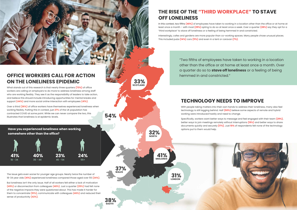## **OFFICE WORKERS CALL FOR ACTION ON THE LONELINESS EPIDEMIC**

What stands out of this research is that nearly three quarters **(73%)** of office workers are calling on employers to do more to address loneliness among staff who are working flexibly. They see it as the responsibility of leaders to take action, and believe this should include introducing opportunities for mental breaks and support **(44%)** and more social online interaction with employees **(41%)**.

Over a third **(36%)** of office workers have themselves experienced loneliness when working flexibly. Putting this in context, just **27%** of the UK population has contracted COVID at some point. While we can never compare the two, this illustrates that loneliness is at epidemic levels.

**Have you experienced loneliness when working somewhere other than the office?**

**SCOTLAND 33%**

> **LONDON 31%**



**SOUTH 38%** **MIDLANDS 41%**

**NI 54%**

> **NORTH 32%**



The issue gets even worse for younger age groups. Nearly twice the number of 18-34 year olds **(41%)** experienced loneliness compared those aged over 55 **(24%)**.

But loneliness isn't the only issue. Half of all workers felt either a lack of motivation **(49%)** or disconnection from colleagues **(48%)**. Just a quarter **(25%)** had felt none of the negative impacts they were questioned about. This has made it harder for them to concentrate **(51%)**, communicate with colleagues **(46%)** and reduced their sense of productivity **(42%)**.



"Two fifths of employees have taken to working in a location other than the office or at home at least once a month. Over a quarter do so to **stave off loneliness** or a feeling of being hemmed in and constricted."

## **TECHNOLOGY NEEDS TO IMPROVE**

With people taking matters into their own hands to address their loneliness, many also feel technology is still lagging behind. Half **(50%)** believe some aspects of remote and hybrid working were introduced hastily and need to change.

Specifically, workers want better ways to message and feel engaged with their team **(29%)**, better ways to join meetings remotely without interruptions **(19%)** and better ways to share documents quickly and securely **(17%)**. Just **10%** of respondents felt none of the technology options put to them would help.

## **THE RISE OF THE "THIRD WORKPLACE" TO STAVE OFF LONELINESS**

In this context, two fifths **(40%)** of employees have taken to working in a location other than the office or at home at least once a month – with most **(29%)** opting to do so at least once a week. Over a quarter **(28%)** say they opt for a "third workplace" to stave off loneliness or a feeling of being hemmed in and constricted.

Interestingly, cafes and gardens are more popular than co-working spaces. Many people chose unusual places. This included pubs **(14%)** cars **(11%)** and even in a tent or caravan **(7%)**.